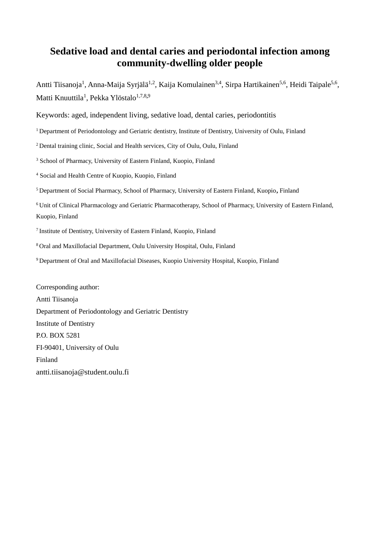# **Sedative load and dental caries and periodontal infection among community-dwelling older people**

Antti Tiisanoja<sup>1</sup>, Anna-Maija Syrjälä<sup>1,2</sup>, Kaija Komulainen<sup>3,4</sup>, Sirpa Hartikainen<sup>5,6</sup>, Heidi Taipale<sup>5,6</sup>, Matti Knuuttila<sup>1</sup>, Pekka Ylöstalo<sup>1,7,8,9</sup>

Keywords: aged, independent living, sedative load, dental caries, periodontitis

<sup>1</sup> Department of Periodontology and Geriatric dentistry, Institute of Dentistry, University of Oulu, Finland

<sup>2</sup> Dental training clinic, Social and Health services, City of Oulu, Oulu, Finland

<sup>3</sup> School of Pharmacy, University of Eastern Finland, Kuopio, Finland

<sup>4</sup> Social and Health Centre of Kuopio, Kuopio, Finland

<sup>5</sup>Department of Social Pharmacy, School of Pharmacy, University of Eastern Finland, Kuopio**,** Finland

<sup>6</sup>Unit of Clinical Pharmacology and Geriatric Pharmacotherapy, School of Pharmacy, University of Eastern Finland, Kuopio, Finland

<sup>7</sup>Institute of Dentistry, University of Eastern Finland, Kuopio, Finland

<sup>8</sup>Oral and Maxillofacial Department, Oulu University Hospital, Oulu, Finland

<sup>9</sup>Department of Oral and Maxillofacial Diseases, Kuopio University Hospital, Kuopio, Finland

Corresponding author: Antti Tiisanoja Department of Periodontology and Geriatric Dentistry Institute of Dentistry P.O. BOX 5281 FI-90401, University of Oulu Finland antti.tiisanoja@student.oulu.fi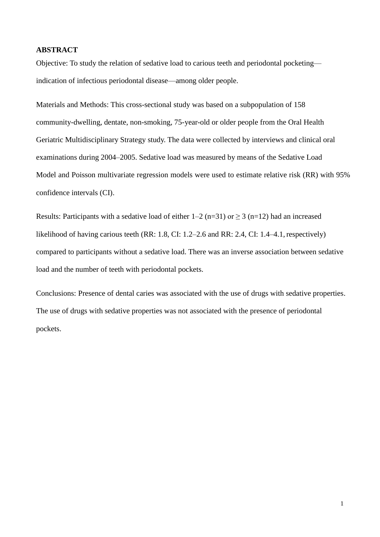# **ABSTRACT**

Objective: To study the relation of sedative load to carious teeth and periodontal pocketing indication of infectious periodontal disease—among older people.

Materials and Methods: This cross-sectional study was based on a subpopulation of 158 community-dwelling, dentate, non-smoking, 75-year-old or older people from the Oral Health Geriatric Multidisciplinary Strategy study. The data were collected by interviews and clinical oral examinations during 2004–2005. Sedative load was measured by means of the Sedative Load Model and Poisson multivariate regression models were used to estimate relative risk (RR) with 95% confidence intervals (CI).

Results: Participants with a sedative load of either  $1-2$  (n=31) or  $\geq 3$  (n=12) had an increased likelihood of having carious teeth (RR: 1.8, CI: 1.2–2.6 and RR: 2.4, CI: 1.4–4.1, respectively) compared to participants without a sedative load. There was an inverse association between sedative load and the number of teeth with periodontal pockets.

Conclusions: Presence of dental caries was associated with the use of drugs with sedative properties. The use of drugs with sedative properties was not associated with the presence of periodontal pockets.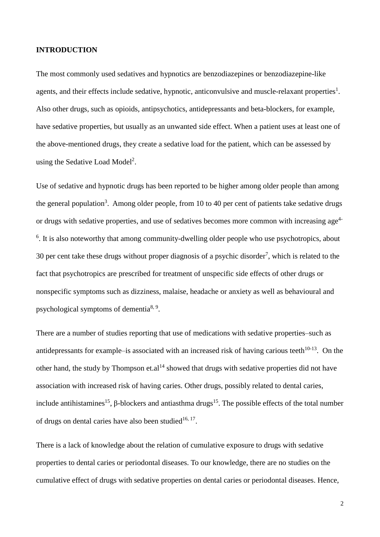## **INTRODUCTION**

The most commonly used sedatives and hypnotics are benzodiazepines or benzodiazepine-like agents, and their effects include sedative, hypnotic, anticonvulsive and muscle-relaxant properties<sup>1</sup>. Also other drugs, such as opioids, antipsychotics, antidepressants and beta-blockers, for example, have sedative properties, but usually as an unwanted side effect. When a patient uses at least one of the above-mentioned drugs, they create a sedative load for the patient, which can be assessed by using the Sedative Load Model<sup>2</sup>.

Use of sedative and hypnotic drugs has been reported to be higher among older people than among the general population<sup>3</sup>. Among older people, from 10 to 40 per cent of patients take sedative drugs or drugs with sedative properties, and use of sedatives becomes more common with increasing age<sup>4-</sup> <sup>6</sup>. It is also noteworthy that among community-dwelling older people who use psychotropics, about 30 per cent take these drugs without proper diagnosis of a psychic disorder<sup>7</sup>, which is related to the fact that psychotropics are prescribed for treatment of unspecific side effects of other drugs or nonspecific symptoms such as dizziness, malaise, headache or anxiety as well as behavioural and psychological symptoms of dementia<sup>8, 9</sup>.

There are a number of studies reporting that use of medications with sedative properties–such as antidepressants for example–is associated with an increased risk of having carious teeth $10-13$ . On the other hand, the study by Thompson et.al<sup>14</sup> showed that drugs with sedative properties did not have association with increased risk of having caries. Other drugs, possibly related to dental caries, include antihistamines<sup>15</sup>,  $\beta$ -blockers and antiasthma drugs<sup>15</sup>. The possible effects of the total number of drugs on dental caries have also been studied<sup>16, 17</sup>.

There is a lack of knowledge about the relation of cumulative exposure to drugs with sedative properties to dental caries or periodontal diseases. To our knowledge, there are no studies on the cumulative effect of drugs with sedative properties on dental caries or periodontal diseases. Hence,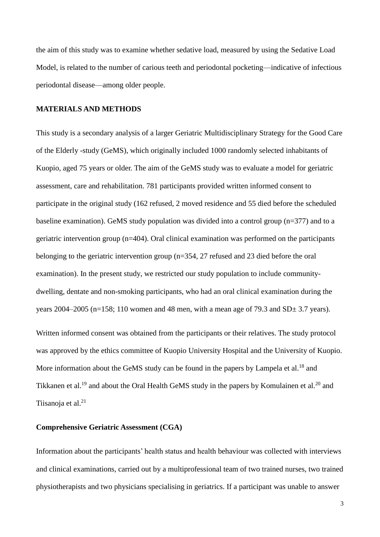the aim of this study was to examine whether sedative load, measured by using the Sedative Load Model, is related to the number of carious teeth and periodontal pocketing—indicative of infectious periodontal disease—among older people.

#### **MATERIALS AND METHODS**

This study is a secondary analysis of a larger Geriatric Multidisciplinary Strategy for the Good Care of the Elderly -study (GeMS), which originally included 1000 randomly selected inhabitants of Kuopio, aged 75 years or older. The aim of the GeMS study was to evaluate a model for geriatric assessment, care and rehabilitation. 781 participants provided written informed consent to participate in the original study (162 refused, 2 moved residence and 55 died before the scheduled baseline examination). GeMS study population was divided into a control group (n=377) and to a geriatric intervention group (n=404). Oral clinical examination was performed on the participants belonging to the geriatric intervention group (n=354, 27 refused and 23 died before the oral examination). In the present study, we restricted our study population to include communitydwelling, dentate and non-smoking participants, who had an oral clinical examination during the years 2004–2005 (n=158; 110 women and 48 men, with a mean age of 79.3 and  $SD<sub>±</sub>$  3.7 years).

Written informed consent was obtained from the participants or their relatives. The study protocol was approved by the ethics committee of Kuopio University Hospital and the University of Kuopio. More information about the GeMS study can be found in the papers by Lampela et al.<sup>18</sup> and Tikkanen et al.<sup>19</sup> and about the Oral Health GeMS study in the papers by Komulainen et al.<sup>20</sup> and Tiisanoja et al.<sup>21</sup>

#### **Comprehensive Geriatric Assessment (CGA)**

Information about the participants' health status and health behaviour was collected with interviews and clinical examinations, carried out by a multiprofessional team of two trained nurses, two trained physiotherapists and two physicians specialising in geriatrics. If a participant was unable to answer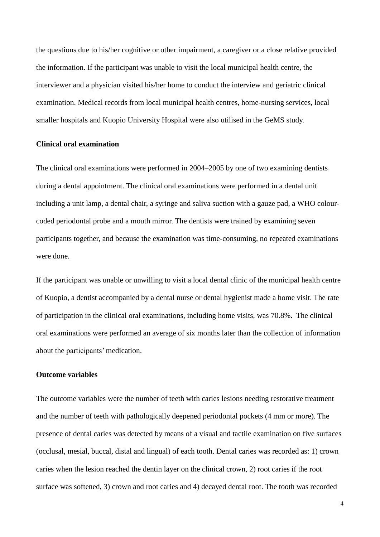the questions due to his/her cognitive or other impairment, a caregiver or a close relative provided the information. If the participant was unable to visit the local municipal health centre, the interviewer and a physician visited his/her home to conduct the interview and geriatric clinical examination. Medical records from local municipal health centres, home-nursing services, local smaller hospitals and Kuopio University Hospital were also utilised in the GeMS study.

### **Clinical oral examination**

The clinical oral examinations were performed in 2004–2005 by one of two examining dentists during a dental appointment. The clinical oral examinations were performed in a dental unit including a unit lamp, a dental chair, a syringe and saliva suction with a gauze pad, a WHO colourcoded periodontal probe and a mouth mirror. The dentists were trained by examining seven participants together, and because the examination was time-consuming, no repeated examinations were done.

If the participant was unable or unwilling to visit a local dental clinic of the municipal health centre of Kuopio, a dentist accompanied by a dental nurse or dental hygienist made a home visit. The rate of participation in the clinical oral examinations, including home visits, was 70.8%. The clinical oral examinations were performed an average of six months later than the collection of information about the participants' medication.

#### **Outcome variables**

The outcome variables were the number of teeth with caries lesions needing restorative treatment and the number of teeth with pathologically deepened periodontal pockets (4 mm or more). The presence of dental caries was detected by means of a visual and tactile examination on five surfaces (occlusal, mesial, buccal, distal and lingual) of each tooth. Dental caries was recorded as: 1) crown caries when the lesion reached the dentin layer on the clinical crown, 2) root caries if the root surface was softened, 3) crown and root caries and 4) decayed dental root. The tooth was recorded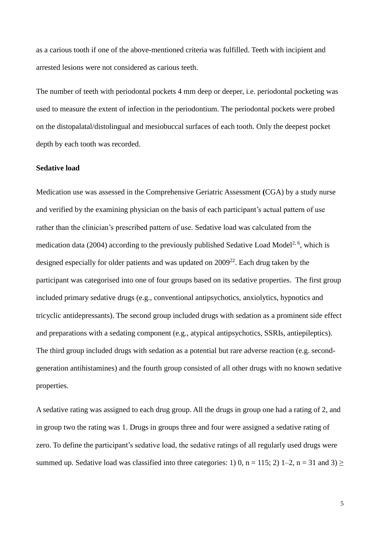as a carious tooth if one of the above-mentioned criteria was fulfilled. Teeth with incipient and arrested lesions were not considered as carious teeth.

The number of teeth with periodontal pockets 4 mm deep or deeper, i.e. periodontal pocketing was used to measure the extent of infection in the periodontium. The periodontal pockets were probed on the distopalatal/distolingual and mesiobuccal surfaces of each tooth. Only the deepest pocket depth by each tooth was recorded.

#### **Sedative load**

Medication use was assessed in the Comprehensive Geriatric Assessment **(**CGA) by a study nurse and verified by the examining physician on the basis of each participant's actual pattern of use rather than the clinician's prescribed pattern of use. Sedative load was calculated from the medication data (2004) according to the previously published Sedative Load Model<sup>2, 6</sup>, which is designed especially for older patients and was updated on  $2009^{22}$ . Each drug taken by the participant was categorised into one of four groups based on its sedative properties. The first group included primary sedative drugs (e.g., conventional antipsychotics, anxiolytics, hypnotics and tricyclic antidepressants). The second group included drugs with sedation as a prominent side effect and preparations with a sedating component (e.g., atypical antipsychotics, SSRIs, antiepileptics). The third group included drugs with sedation as a potential but rare adverse reaction (e.g. secondgeneration antihistamines) and the fourth group consisted of all other drugs with no known sedative properties.

A sedative rating was assigned to each drug group. All the drugs in group one had a rating of 2, and in group two the rating was 1. Drugs in groups three and four were assigned a sedative rating of zero. To define the participant's sedative load, the sedative ratings of all regularly used drugs were summed up. Sedative load was classified into three categories: 1) 0, n = 115; 2) 1–2, n = 31 and 3)  $\ge$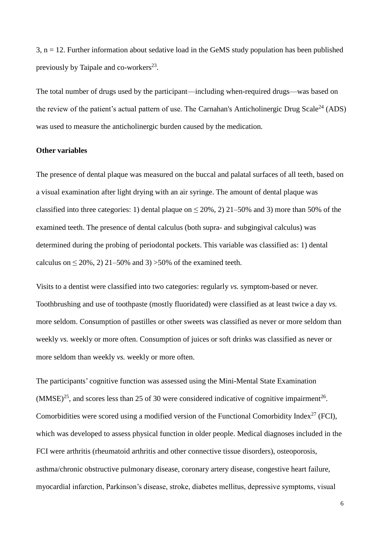$3, n = 12$ . Further information about sedative load in the GeMS study population has been published previously by Taipale and co-workers<sup>23</sup>.

The total number of drugs used by the participant—including when-required drugs—was based on the review of the patient's actual pattern of use. The Carnahan's Anticholinergic Drug Scale<sup>24</sup> (ADS) was used to measure the anticholinergic burden caused by the medication.

## **Other variables**

The presence of dental plaque was measured on the buccal and palatal surfaces of all teeth, based on a visual examination after light drying with an air syringe. The amount of dental plaque was classified into three categories: 1) dental plaque on  $\leq 20\%$ , 2) 21–50% and 3) more than 50% of the examined teeth. The presence of dental calculus (both supra- and subgingival calculus) was determined during the probing of periodontal pockets. This variable was classified as: 1) dental calculus on  $\leq 20\%$ , 2) 21–50% and 3) >50% of the examined teeth.

Visits to a dentist were classified into two categories: regularly *vs.* symptom-based or never. Toothbrushing and use of toothpaste (mostly fluoridated) were classified as at least twice a day *vs.*  more seldom. Consumption of pastilles or other sweets was classified as never or more seldom than weekly *vs.* weekly or more often. Consumption of juices or soft drinks was classified as never or more seldom than weekly *vs.* weekly or more often.

The participants' cognitive function was assessed using the Mini-Mental State Examination  $(MMSE)^{25}$ , and scores less than 25 of 30 were considered indicative of cognitive impairment<sup>26</sup>. Comorbidities were scored using a modified version of the Functional Comorbidity Index<sup>27</sup> (FCI), which was developed to assess physical function in older people. Medical diagnoses included in the FCI were arthritis (rheumatoid arthritis and other connective tissue disorders), osteoporosis, asthma/chronic obstructive pulmonary disease, coronary artery disease, congestive heart failure, myocardial infarction, Parkinson's disease, stroke, diabetes mellitus, depressive symptoms, visual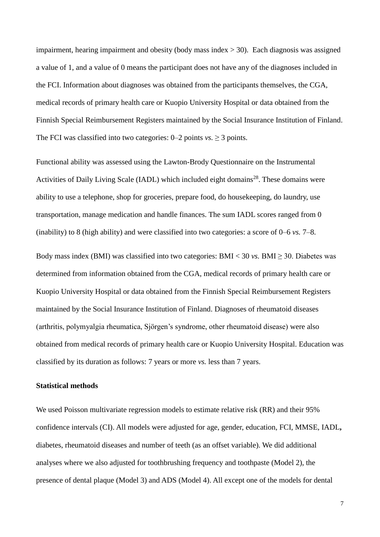impairment, hearing impairment and obesity (body mass index  $>$  30). Each diagnosis was assigned a value of 1, and a value of 0 means the participant does not have any of the diagnoses included in the FCI. Information about diagnoses was obtained from the participants themselves, the CGA, medical records of primary health care or Kuopio University Hospital or data obtained from the Finnish Special Reimbursement Registers maintained by the Social Insurance Institution of Finland. The FCI was classified into two categories:  $0-2$  points *vs.*  $\geq 3$  points.

Functional ability was assessed using the Lawton-Brody Questionnaire on the Instrumental Activities of Daily Living Scale (IADL) which included eight domains<sup>28</sup>. These domains were ability to use a telephone, shop for groceries, prepare food, do housekeeping, do laundry, use transportation, manage medication and handle finances. The sum IADL scores ranged from 0 (inability) to 8 (high ability) and were classified into two categories: a score of 0–6 *vs.* 7–8.

Body mass index (BMI) was classified into two categories:  $BMI < 30$  *vs.* BMI  $\geq 30$ . Diabetes was determined from information obtained from the CGA, medical records of primary health care or Kuopio University Hospital or data obtained from the Finnish Special Reimbursement Registers maintained by the Social Insurance Institution of Finland. Diagnoses of rheumatoid diseases (arthritis, polymyalgia rheumatica, Sjörgen's syndrome, other rheumatoid disease) were also obtained from medical records of primary health care or Kuopio University Hospital. Education was classified by its duration as follows: 7 years or more *vs.* less than 7 years.

#### **Statistical methods**

We used Poisson multivariate regression models to estimate relative risk (RR) and their 95% confidence intervals (CI). All models were adjusted for age, gender, education, FCI, MMSE, IADL**,**  diabetes, rheumatoid diseases and number of teeth (as an offset variable). We did additional analyses where we also adjusted for toothbrushing frequency and toothpaste (Model 2), the presence of dental plaque (Model 3) and ADS (Model 4). All except one of the models for dental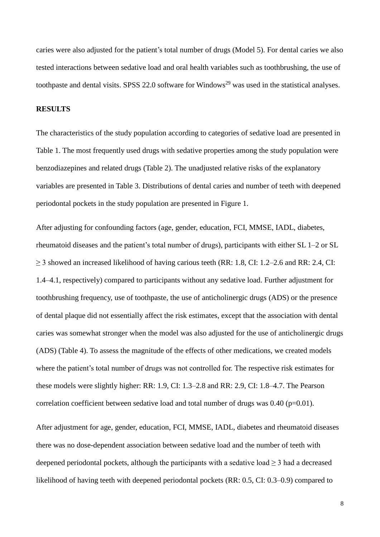caries were also adjusted for the patient's total number of drugs (Model 5). For dental caries we also tested interactions between sedative load and oral health variables such as toothbrushing, the use of toothpaste and dental visits. SPSS 22.0 software for Windows<sup>29</sup> was used in the statistical analyses.

## **RESULTS**

The characteristics of the study population according to categories of sedative load are presented in Table 1. The most frequently used drugs with sedative properties among the study population were benzodiazepines and related drugs (Table 2). The unadjusted relative risks of the explanatory variables are presented in Table 3. Distributions of dental caries and number of teeth with deepened periodontal pockets in the study population are presented in Figure 1.

After adjusting for confounding factors (age, gender, education, FCI, MMSE, IADL, diabetes, rheumatoid diseases and the patient's total number of drugs), participants with either SL 1–2 or SL  $\geq$  3 showed an increased likelihood of having carious teeth (RR: 1.8, CI: 1.2–2.6 and RR: 2.4, CI: 1.4–4.1, respectively) compared to participants without any sedative load. Further adjustment for toothbrushing frequency, use of toothpaste, the use of anticholinergic drugs (ADS) or the presence of dental plaque did not essentially affect the risk estimates, except that the association with dental caries was somewhat stronger when the model was also adjusted for the use of anticholinergic drugs (ADS) (Table 4). To assess the magnitude of the effects of other medications, we created models where the patient's total number of drugs was not controlled for. The respective risk estimates for these models were slightly higher: RR: 1.9, CI: 1.3–2.8 and RR: 2.9, CI: 1.8–4.7. The Pearson correlation coefficient between sedative load and total number of drugs was  $0.40$  (p=0.01).

After adjustment for age, gender, education, FCI, MMSE, IADL, diabetes and rheumatoid diseases there was no dose-dependent association between sedative load and the number of teeth with deepened periodontal pockets, although the participants with a sedative load  $\geq$  3 had a decreased likelihood of having teeth with deepened periodontal pockets (RR: 0.5, CI: 0.3–0.9) compared to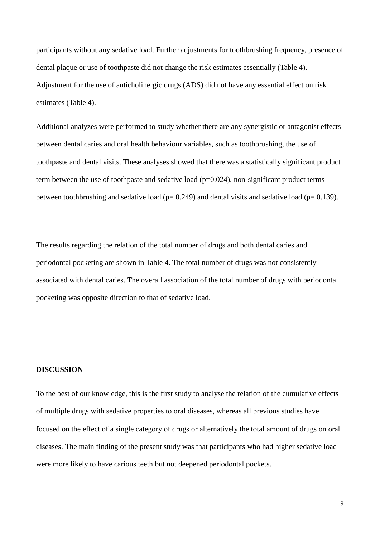participants without any sedative load. Further adjustments for toothbrushing frequency, presence of dental plaque or use of toothpaste did not change the risk estimates essentially (Table 4). Adjustment for the use of anticholinergic drugs (ADS) did not have any essential effect on risk estimates (Table 4).

Additional analyzes were performed to study whether there are any synergistic or antagonist effects between dental caries and oral health behaviour variables, such as toothbrushing, the use of toothpaste and dental visits. These analyses showed that there was a statistically significant product term between the use of toothpaste and sedative load  $(p=0.024)$ , non-significant product terms between toothbrushing and sedative load ( $p= 0.249$ ) and dental visits and sedative load ( $p= 0.139$ ).

The results regarding the relation of the total number of drugs and both dental caries and periodontal pocketing are shown in Table 4. The total number of drugs was not consistently associated with dental caries. The overall association of the total number of drugs with periodontal pocketing was opposite direction to that of sedative load.

#### **DISCUSSION**

To the best of our knowledge, this is the first study to analyse the relation of the cumulative effects of multiple drugs with sedative properties to oral diseases, whereas all previous studies have focused on the effect of a single category of drugs or alternatively the total amount of drugs on oral diseases. The main finding of the present study was that participants who had higher sedative load were more likely to have carious teeth but not deepened periodontal pockets.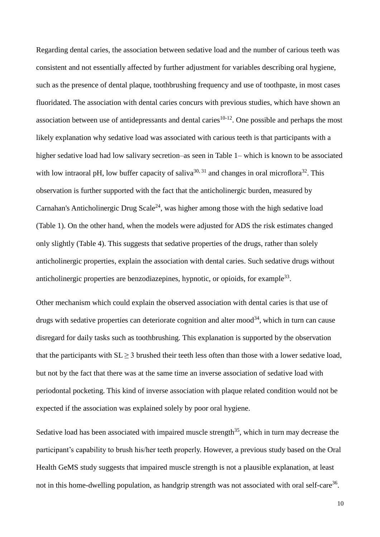Regarding dental caries, the association between sedative load and the number of carious teeth was consistent and not essentially affected by further adjustment for variables describing oral hygiene, such as the presence of dental plaque, toothbrushing frequency and use of toothpaste, in most cases fluoridated. The association with dental caries concurs with previous studies, which have shown an association between use of antidepressants and dental caries<sup>10-12</sup>. One possible and perhaps the most likely explanation why sedative load was associated with carious teeth is that participants with a higher sedative load had low salivary secretion–as seen in Table 1– which is known to be associated with low intraoral pH, low buffer capacity of saliva<sup>30, 31</sup> and changes in oral microflora<sup>32</sup>. This observation is further supported with the fact that the anticholinergic burden, measured by Carnahan's Anticholinergic Drug Scale<sup>24</sup>, was higher among those with the high sedative load (Table 1). On the other hand, when the models were adjusted for ADS the risk estimates changed only slightly (Table 4). This suggests that sedative properties of the drugs, rather than solely anticholinergic properties, explain the association with dental caries. Such sedative drugs without anticholinergic properties are benzodiazepines, hypnotic, or opioids, for example<sup>33</sup>.

Other mechanism which could explain the observed association with dental caries is that use of drugs with sedative properties can deteriorate cognition and alter mood<sup>34</sup>, which in turn can cause disregard for daily tasks such as toothbrushing. This explanation is supported by the observation that the participants with  $SL \geq 3$  brushed their teeth less often than those with a lower sedative load, but not by the fact that there was at the same time an inverse association of sedative load with periodontal pocketing. This kind of inverse association with plaque related condition would not be expected if the association was explained solely by poor oral hygiene.

Sedative load has been associated with impaired muscle strength<sup>35</sup>, which in turn may decrease the participant's capability to brush his/her teeth properly. However, a previous study based on the Oral Health GeMS study suggests that impaired muscle strength is not a plausible explanation, at least not in this home-dwelling population, as handgrip strength was not associated with oral self-care<sup>36</sup>.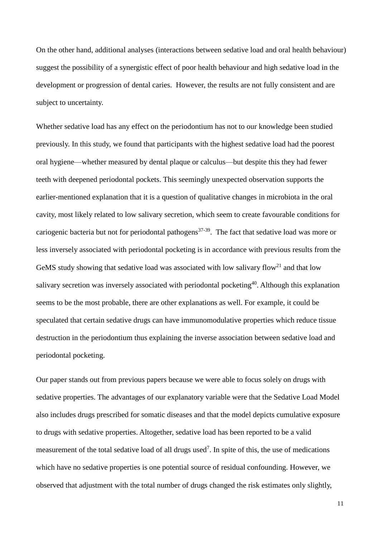On the other hand, additional analyses (interactions between sedative load and oral health behaviour) suggest the possibility of a synergistic effect of poor health behaviour and high sedative load in the development or progression of dental caries. However, the results are not fully consistent and are subject to uncertainty.

Whether sedative load has any effect on the periodontium has not to our knowledge been studied previously. In this study, we found that participants with the highest sedative load had the poorest oral hygiene—whether measured by dental plaque or calculus—but despite this they had fewer teeth with deepened periodontal pockets. This seemingly unexpected observation supports the earlier-mentioned explanation that it is a question of qualitative changes in microbiota in the oral cavity, most likely related to low salivary secretion, which seem to create favourable conditions for cariogenic bacteria but not for periodontal pathogens<sup>37-39</sup>. The fact that sedative load was more or less inversely associated with periodontal pocketing is in accordance with previous results from the GeMS study showing that sedative load was associated with low salivary flow<sup>21</sup> and that low salivary secretion was inversely associated with periodontal pocketing<sup>40</sup>. Although this explanation seems to be the most probable, there are other explanations as well. For example, it could be speculated that certain sedative drugs can have immunomodulative properties which reduce tissue destruction in the periodontium thus explaining the inverse association between sedative load and periodontal pocketing.

Our paper stands out from previous papers because we were able to focus solely on drugs with sedative properties. The advantages of our explanatory variable were that the Sedative Load Model also includes drugs prescribed for somatic diseases and that the model depicts cumulative exposure to drugs with sedative properties. Altogether, sedative load has been reported to be a valid measurement of the total sedative load of all drugs used<sup>7</sup>. In spite of this, the use of medications which have no sedative properties is one potential source of residual confounding. However, we observed that adjustment with the total number of drugs changed the risk estimates only slightly,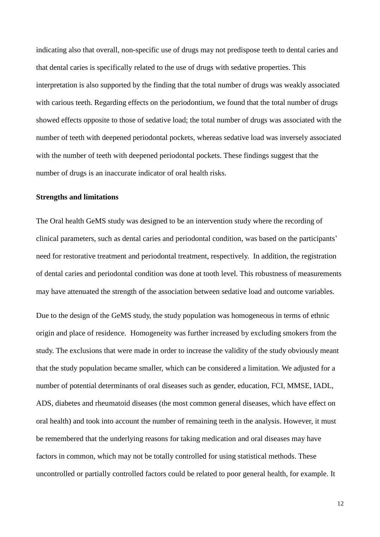indicating also that overall, non-specific use of drugs may not predispose teeth to dental caries and that dental caries is specifically related to the use of drugs with sedative properties. This interpretation is also supported by the finding that the total number of drugs was weakly associated with carious teeth. Regarding effects on the periodontium, we found that the total number of drugs showed effects opposite to those of sedative load; the total number of drugs was associated with the number of teeth with deepened periodontal pockets, whereas sedative load was inversely associated with the number of teeth with deepened periodontal pockets. These findings suggest that the number of drugs is an inaccurate indicator of oral health risks.

#### **Strengths and limitations**

The Oral health GeMS study was designed to be an intervention study where the recording of clinical parameters, such as dental caries and periodontal condition, was based on the participants' need for restorative treatment and periodontal treatment, respectively. In addition, the registration of dental caries and periodontal condition was done at tooth level. This robustness of measurements may have attenuated the strength of the association between sedative load and outcome variables.

Due to the design of the GeMS study, the study population was homogeneous in terms of ethnic origin and place of residence. Homogeneity was further increased by excluding smokers from the study. The exclusions that were made in order to increase the validity of the study obviously meant that the study population became smaller, which can be considered a limitation. We adjusted for a number of potential determinants of oral diseases such as gender, education, FCI, MMSE, IADL, ADS, diabetes and rheumatoid diseases (the most common general diseases, which have effect on oral health) and took into account the number of remaining teeth in the analysis. However, it must be remembered that the underlying reasons for taking medication and oral diseases may have factors in common, which may not be totally controlled for using statistical methods. These uncontrolled or partially controlled factors could be related to poor general health, for example. It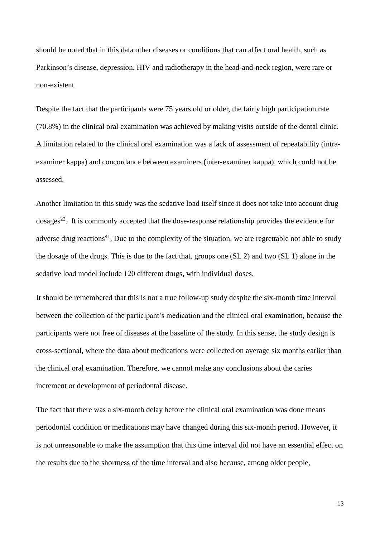should be noted that in this data other diseases or conditions that can affect oral health, such as Parkinson's disease, depression, HIV and radiotherapy in the head-and-neck region, were rare or non-existent.

Despite the fact that the participants were 75 years old or older, the fairly high participation rate (70.8%) in the clinical oral examination was achieved by making visits outside of the dental clinic. A limitation related to the clinical oral examination was a lack of assessment of repeatability (intraexaminer kappa) and concordance between examiners (inter-examiner kappa), which could not be assessed.

Another limitation in this study was the sedative load itself since it does not take into account drug  $\omega$ dosages<sup>22</sup>. It is commonly accepted that the dose-response relationship provides the evidence for adverse drug reactions<sup>41</sup>. Due to the complexity of the situation, we are regrettable not able to study the dosage of the drugs. This is due to the fact that, groups one (SL 2) and two (SL 1) alone in the sedative load model include 120 different drugs, with individual doses.

It should be remembered that this is not a true follow-up study despite the six-month time interval between the collection of the participant's medication and the clinical oral examination, because the participants were not free of diseases at the baseline of the study. In this sense, the study design is cross-sectional, where the data about medications were collected on average six months earlier than the clinical oral examination. Therefore, we cannot make any conclusions about the caries increment or development of periodontal disease.

The fact that there was a six-month delay before the clinical oral examination was done means periodontal condition or medications may have changed during this six-month period. However, it is not unreasonable to make the assumption that this time interval did not have an essential effect on the results due to the shortness of the time interval and also because, among older people,

13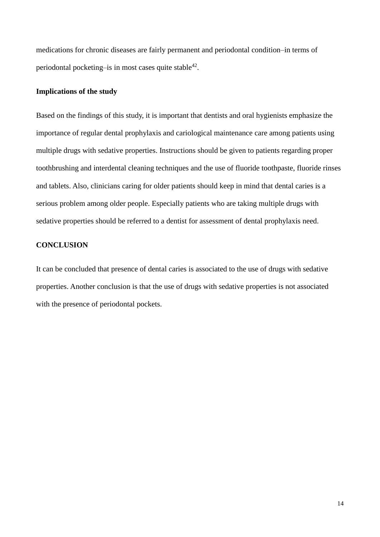medications for chronic diseases are fairly permanent and periodontal condition–in terms of periodontal pocketing-is in most cases quite stable<sup>42</sup>.

## **Implications of the study**

Based on the findings of this study, it is important that dentists and oral hygienists emphasize the importance of regular dental prophylaxis and cariological maintenance care among patients using multiple drugs with sedative properties. Instructions should be given to patients regarding proper toothbrushing and interdental cleaning techniques and the use of fluoride toothpaste, fluoride rinses and tablets. Also, clinicians caring for older patients should keep in mind that dental caries is a serious problem among older people. Especially patients who are taking multiple drugs with sedative properties should be referred to a dentist for assessment of dental prophylaxis need.

# **CONCLUSION**

It can be concluded that presence of dental caries is associated to the use of drugs with sedative properties. Another conclusion is that the use of drugs with sedative properties is not associated with the presence of periodontal pockets.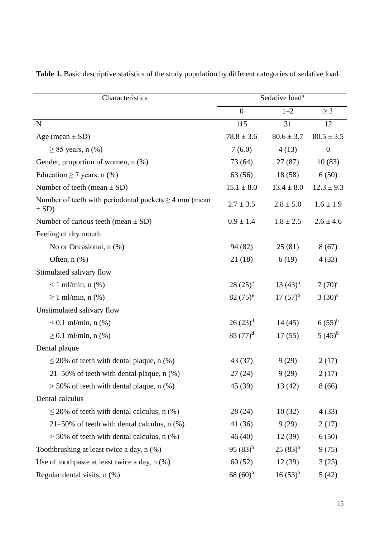| Characteristics                                                         | Sedative load <sup>a</sup> |                |                  |
|-------------------------------------------------------------------------|----------------------------|----------------|------------------|
|                                                                         | $\overline{0}$             | $1 - 2$        | $\geq$ 3         |
| $\mathbf N$                                                             | 115                        | 31             | 12               |
| Age (mean $\pm$ SD)                                                     | $78.8 \pm 3.6$             | $80.6 \pm 3.7$ | $80.5 \pm 3.5$   |
| $\geq$ 85 years, n (%)                                                  | 7(6.0)                     | 4(13)          | $\boldsymbol{0}$ |
| Gender, proportion of women, n (%)                                      | 73 (64)                    | 27(87)         | 10(83)           |
| Education $\geq$ 7 years, n (%)                                         | 63(56)                     | 18(58)         | 6(50)            |
| Number of teeth (mean $\pm$ SD)                                         | $15.1 \pm 8.0$             | $13.4 \pm 8.0$ | $12.3 \pm 9.3$   |
| Number of teeth with periodontal pockets $\geq 4$ mm (mean<br>$\pm$ SD) | $2.7 \pm 3.5$              | $2.8 \pm 5.0$  | $1.6 \pm 1.9$    |
| Number of carious teeth (mean $\pm$ SD)                                 | $0.9 \pm 1.4$              | $1.8 \pm 2.5$  | $2.6 \pm 4.6$    |
| Feeling of dry mouth                                                    |                            |                |                  |
| No or Occasional, $n$ $(\%)$                                            | 94 (82)                    | 25(81)         | 8(67)            |
| Often, $n$ $(\%)$                                                       | 21(18)                     | 6(19)          | 4(33)            |
| Stimulated salivary flow                                                |                            |                |                  |
| $< 1$ ml/min, n $(\%)$                                                  | $28(25)^e$                 | $13(43)^{b}$   | $7(70)^{c}$      |
| $\geq 1$ ml/min, n (%)                                                  | $82(75)^e$                 | $17(57)^{b}$   | $(30)^{c}$       |
| Unstimulated salivary flow                                              |                            |                |                  |
| $< 0.1$ ml/min, n $(\%)$                                                | $26(23)^d$                 | 14(45)         | $6(55)^{b}$      |
| $\geq 0.1$ ml/min, n (%)                                                | 85 $(77)^d$                | 17(55)         | $(45)^{b}$       |
| Dental plaque                                                           |                            |                |                  |
| $\leq$ 20% of teeth with dental plaque, n (%)                           | 43 (37)                    | 9(29)          | 2(17)            |
| $21-50\%$ of teeth with dental plaque, n $(\%)$                         | 27 (24)                    | 9(29)          | 2(17)            |
| $>$ 50% of teeth with dental plaque, n $(\%)$                           | 45 (39)                    | 13(42)         | 8(66)            |
| Dental calculus                                                         |                            |                |                  |
| $\leq$ 20% of teeth with dental calculus, n (%)                         | 28 (24)                    | 10(32)         | 4(33)            |
| 21-50% of teeth with dental calculus, n (%)                             | 41 (36)                    | 9(29)          | 2(17)            |
| $>$ 50% of teeth with dental calculus, n $(\%)$                         | 46(40)                     | 12(39)         | 6(50)            |
| Toothbrushing at least twice a day, n (%)                               | 95 $(83)^{b}$              | $(25(83)^{b})$ | 9(75)            |
| Use of toothpaste at least twice a day, n (%)                           | 60(52)                     | 12(39)         | 3(25)            |
| Regular dental visits, $n$ $(\%)$                                       | $68(60)$ <sup>b</sup>      | $16(53)^{b}$   | 5(42)            |

**Table 1.** Basic descriptive statistics of the study population by different categories of sedative load.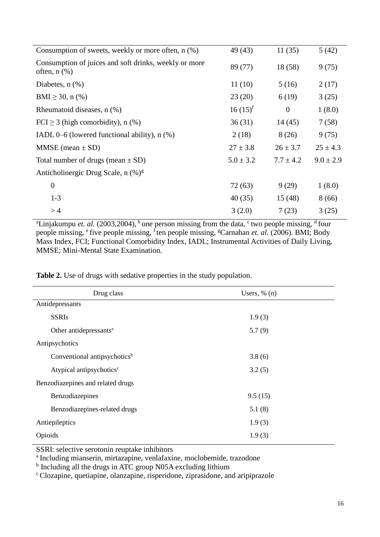| Consumption of sweets, weekly or more often, n (%)                         | 49 (43)       | 11(35)        | 5(42)         |
|----------------------------------------------------------------------------|---------------|---------------|---------------|
| Consumption of juices and soft drinks, weekly or more<br>often, $n$ $(\%)$ | 89 (77)       | 18 (58)       | 9(75)         |
| Diabetes, $n$ $(\%)$                                                       | 11(10)        | 5(16)         | 2(17)         |
| BMI $\geq$ 30, n (%)                                                       | 23(20)        | 6(19)         | 3(25)         |
| Rheumatoid diseases, n (%)                                                 | $16(15)^f$    | $\theta$      | 1(8.0)        |
| FCI $\geq$ 3 (high comorbidity), n (%)                                     | 36(31)        | 14(45)        | 7(58)         |
| IADL $0-6$ (lowered functional ability), n $(\%)$                          | 2(18)         | 8(26)         | 9(75)         |
| $MMSE (mean \pm SD)$                                                       | $27 \pm 3.8$  | $26 \pm 3.7$  | $25 \pm 4.3$  |
| Total number of drugs (mean $\pm$ SD)                                      | $5.0 \pm 3.2$ | $7.7 \pm 4.2$ | $9.0 \pm 2.9$ |
| Anticholinergic Drug Scale, n (%) <sup>g</sup>                             |               |               |               |
| $\boldsymbol{0}$                                                           | 72(63)        | 9(29)         | 1(8.0)        |
| $1 - 3$                                                                    | 40(35)        | 15(48)        | 8(66)         |
| >4                                                                         | 3(2.0)        | 7(23)         | 3(25)         |

<sup>a</sup>Linjakumpu *et. al.* (2003,2004), <sup>b</sup> one person missing from the data,  $\frac{c}{ }$  two people missing,  $\frac{d}{ }$  four people missing, <sup>e</sup> five people missing, <sup>f</sup>ten people missing, <sup>g</sup>Carnahan *et. al.* (2006). BMI; Body Mass Index, FCI; Functional Comorbidity Index, IADL; Instrumental Activities of Daily Living, MMSE; Mini-Mental State Examination.

**Table 2.** Use of drugs with sedative properties in the study population.

| Drug class                               | Users, $\%$ (n) |  |
|------------------------------------------|-----------------|--|
| Antidepressants                          |                 |  |
| <b>SSRIs</b>                             | 1.9(3)          |  |
| Other antidepressants <sup>a</sup>       | 5.7(9)          |  |
| Antipsychotics                           |                 |  |
| Conventional antipsychotics <sup>b</sup> | 3.8(6)          |  |
| Atypical antipsychotics <sup>c</sup>     | 3.2(5)          |  |
| Benzodiazepines and related drugs        |                 |  |
| Benzodiazepines                          | 9.5(15)         |  |
| Benzodiazepines-related drugs            | 5.1(8)          |  |
| Antiepileptics                           | 1.9(3)          |  |
| Opioids                                  | 1.9(3)          |  |

SSRI: selective serotonin reuptake inhibitors

a<br>Including mianserin, mirtazapine, venlafaxine, moclobemide, trazodone

<sup>b</sup> Including all the drugs in ATC group N05A excluding lithium

<sup>c</sup>Clozapine, quetiapine, olanzapine, risperidone, ziprasidone, and aripiprazole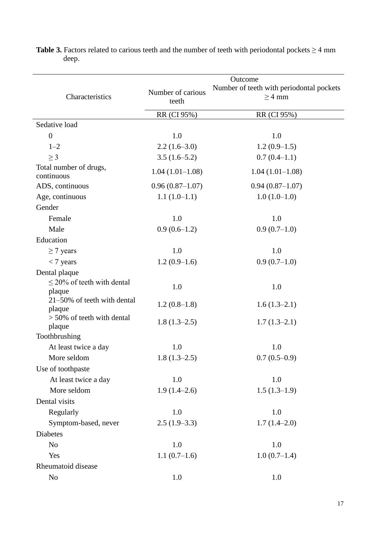|                                       | Outcome           |                                          |  |
|---------------------------------------|-------------------|------------------------------------------|--|
|                                       | Number of carious | Number of teeth with periodontal pockets |  |
| Characteristics                       | teeth             | $\geq$ 4 mm                              |  |
|                                       | RR (CI 95%)       | RR (CI 95%)                              |  |
| Sedative load                         |                   |                                          |  |
| $\overline{0}$                        | 1.0               | 1.0                                      |  |
| $1 - 2$                               | $2.2(1.6-3.0)$    | $1.2(0.9-1.5)$                           |  |
| $\geq$ 3                              | $3.5(1.6-5.2)$    | $0.7(0.4-1.1)$                           |  |
| Total number of drugs,<br>continuous  | $1.04(1.01-1.08)$ | $1.04(1.01-1.08)$                        |  |
| ADS, continuous                       | $0.96(0.87-1.07)$ | $0.94(0.87-1.07)$                        |  |
| Age, continuous                       | $1.1(1.0-1.1)$    | $1.0(1.0-1.0)$                           |  |
| Gender                                |                   |                                          |  |
| Female                                | 1.0               | 1.0                                      |  |
| Male                                  | $0.9(0.6-1.2)$    | $0.9(0.7-1.0)$                           |  |
| Education                             |                   |                                          |  |
| $\geq$ 7 years                        | 1.0               | 1.0                                      |  |
| $<$ 7 years                           | $1.2(0.9-1.6)$    | $0.9(0.7-1.0)$                           |  |
| Dental plaque                         |                   |                                          |  |
| $\leq$ 20% of teeth with dental       | 1.0               | 1.0                                      |  |
| plaque<br>21-50% of teeth with dental |                   |                                          |  |
| plaque                                | $1.2(0.8-1.8)$    | $1.6(1.3-2.1)$                           |  |
| $> 50\%$ of teeth with dental         |                   |                                          |  |
| plaque                                | $1.8(1.3-2.5)$    | $1.7(1.3-2.1)$                           |  |
| Toothbrushing                         |                   |                                          |  |
| At least twice a day                  | 1.0               | 1.0                                      |  |
| More seldom                           | $1.8(1.3-2.5)$    | $0.7(0.5-0.9)$                           |  |
| Use of toothpaste                     |                   |                                          |  |
| At least twice a day                  | 1.0               | 1.0                                      |  |
| More seldom                           | $1.9(1.4-2.6)$    | $1.5(1.3-1.9)$                           |  |
| Dental visits                         |                   |                                          |  |
| Regularly                             | 1.0               | 1.0                                      |  |
| Symptom-based, never                  | $2.5(1.9-3.3)$    | $1.7(1.4-2.0)$                           |  |
| Diabetes                              |                   |                                          |  |
| N <sub>o</sub>                        | 1.0               | 1.0                                      |  |
| Yes                                   | $1.1(0.7-1.6)$    | $1.0(0.7-1.4)$                           |  |
| Rheumatoid disease                    |                   |                                          |  |
| No                                    | 1.0               | 1.0                                      |  |

**Table 3.** Factors related to carious teeth and the number of teeth with periodontal pockets  $\geq 4$  mm deep.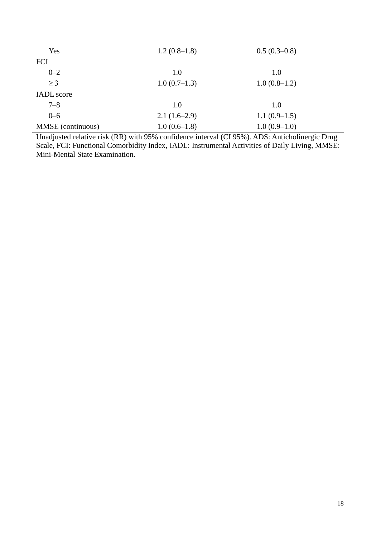| Yes               | $1.2(0.8-1.8)$ | $0.5(0.3-0.8)$ |
|-------------------|----------------|----------------|
| <b>FCI</b>        |                |                |
| $0 - 2$           | 1.0            | 1.0            |
| $>$ 3             | $1.0(0.7-1.3)$ | $1.0(0.8-1.2)$ |
| <b>IADL</b> score |                |                |
| $7 - 8$           | 1.0            | 1.0            |
| $0 - 6$           | $2.1(1.6-2.9)$ | $1.1(0.9-1.5)$ |
| MMSE (continuous) | $1.0(0.6-1.8)$ | $1.0(0.9-1.0)$ |

Unadjusted relative risk (RR) with 95% confidence interval (CI 95%). ADS: Anticholinergic Drug Scale, FCI: Functional Comorbidity Index, IADL: Instrumental Activities of Daily Living, MMSE: Mini-Mental State Examination.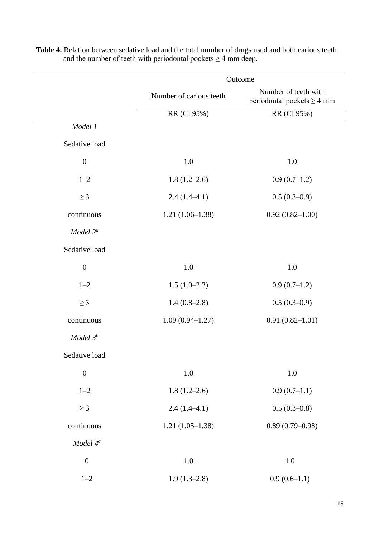|                      | Outcome                 |                                                         |
|----------------------|-------------------------|---------------------------------------------------------|
|                      | Number of carious teeth | Number of teeth with<br>periodontal pockets $\geq$ 4 mm |
|                      | RR (CI 95%)             | RR (CI 95%)                                             |
| Model 1              |                         |                                                         |
| Sedative load        |                         |                                                         |
| $\boldsymbol{0}$     | $1.0\,$                 | 1.0                                                     |
| $1 - 2$              | $1.8(1.2-2.6)$          | $0.9(0.7-1.2)$                                          |
| $\geq$ 3             | $2.4(1.4-4.1)$          | $0.5(0.3-0.9)$                                          |
| continuous           | $1.21(1.06-1.38)$       | $0.92(0.82 - 1.00)$                                     |
| Model 2 <sup>a</sup> |                         |                                                         |
| Sedative load        |                         |                                                         |
| $\boldsymbol{0}$     | 1.0                     | 1.0                                                     |
| $1 - 2$              | $1.5(1.0-2.3)$          | $0.9(0.7-1.2)$                                          |
| $\geq$ 3             | $1.4(0.8-2.8)$          | $0.5(0.3-0.9)$                                          |
| continuous           | $1.09(0.94 - 1.27)$     | $0.91(0.82 - 1.01)$                                     |
| Model $3^b$          |                         |                                                         |
| Sedative load        |                         |                                                         |
| $\boldsymbol{0}$     | $1.0\,$                 | 1.0                                                     |
| $1 - 2$              | $1.8(1.2-2.6)$          | $0.9(0.7-1.1)$                                          |
| $\geq$ 3             | $2.4(1.4-4.1)$          | $0.5(0.3-0.8)$                                          |
| continuous           | $1.21(1.05-1.38)$       | $0.89(0.79 - 0.98)$                                     |
| Model $4^c$          |                         |                                                         |
| $\boldsymbol{0}$     | $1.0\,$                 | $1.0\,$                                                 |
| $1 - 2$              | $1.9(1.3-2.8)$          | $0.9(0.6-1.1)$                                          |

**Table 4.** Relation between sedative load and the total number of drugs used and both carious teeth and the number of teeth with periodontal pockets  $\geq 4$  mm deep.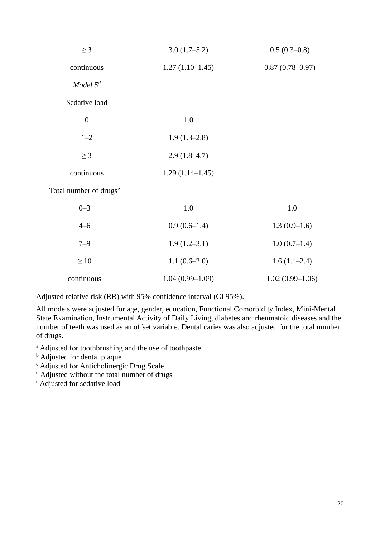| $\geq$ 3                           | $3.0(1.7-5.2)$    | $0.5(0.3-0.8)$      |
|------------------------------------|-------------------|---------------------|
| continuous                         | $1.27(1.10-1.45)$ | $0.87(0.78 - 0.97)$ |
| Model $5^d$                        |                   |                     |
| Sedative load                      |                   |                     |
| $\boldsymbol{0}$                   | 1.0               |                     |
| $1 - 2$                            | $1.9(1.3-2.8)$    |                     |
| $\geq$ 3                           | $2.9(1.8-4.7)$    |                     |
| continuous                         | $1.29(1.14-1.45)$ |                     |
| Total number of drugs <sup>e</sup> |                   |                     |
| $0 - 3$                            | 1.0               | 1.0                 |
| $4 - 6$                            | $0.9(0.6-1.4)$    | $1.3(0.9-1.6)$      |
| $7 - 9$                            | $1.9(1.2 - 3.1)$  | $1.0(0.7-1.4)$      |
| $\geq 10$                          | $1.1(0.6-2.0)$    | $1.6(1.1-2.4)$      |
| continuous                         | $1.04(0.99-1.09)$ | $1.02(0.99-1.06)$   |

Adjusted relative risk (RR) with 95% confidence interval (CI 95%).

All models were adjusted for age, gender, education, Functional Comorbidity Index, Mini-Mental State Examination, Instrumental Activity of Daily Living, diabetes and rheumatoid diseases and the number of teeth was used as an offset variable. Dental caries was also adjusted for the total number of drugs.

<sup>a</sup> Adjusted for toothbrushing and the use of toothpaste

**b** Adjusted for dental plaque

<sup>c</sup> Adjusted for Anticholinergic Drug Scale

<sup>d</sup> Adjusted without the total number of drugs

<sup>e</sup> Adjusted for sedative load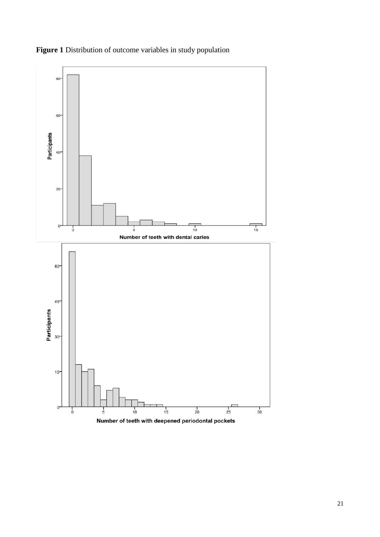

**Figure 1** Distribution of outcome variables in study population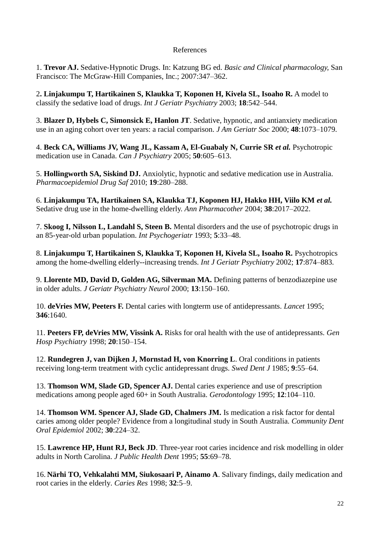# References

1. **Trevor AJ.** Sedative-Hypnotic Drugs. In: Katzung BG ed. *Basic and Clinical pharmacology,* San Francisco: The McGraw-Hill Companies, Inc.; 2007:347–362.

2**. Linjakumpu T, Hartikainen S, Klaukka T, Koponen H, Kivela SL, Isoaho R.** A model to classify the sedative load of drugs. *Int J Geriatr Psychiatry* 2003; **18**:542–544.

3. **Blazer D, Hybels C, Simonsick E, Hanlon JT**. Sedative, hypnotic, and antianxiety medication use in an aging cohort over ten years: a racial comparison. *J Am Geriatr Soc* 2000; **48**:1073–1079.

4. **Beck CA, Williams JV, Wang JL, Kassam A, El-Guabaly N, Currie SR** *et al.* Psychotropic medication use in Canada. *Can J Psychiatry* 2005; **50**:605–613.

5. **Hollingworth SA, Siskind DJ.** Anxiolytic, hypnotic and sedative medication use in Australia. *Pharmacoepidemiol Drug Saf* 2010; **19**:280–288.

6. **Linjakumpu TA, Hartikainen SA, Klaukka TJ, Koponen HJ, Hakko HH, Viilo KM** *et al.*  Sedative drug use in the home-dwelling elderly. *Ann Pharmacother* 2004; **38**:2017–2022.

7. **Skoog I, Nilsson L, Landahl S, Steen B.** Mental disorders and the use of psychotropic drugs in an 85-year-old urban population. *Int Psychogeriatr* 1993; **5**:33–48.

8. Linjakumpu T, Hartikainen S, Klaukka T, Koponen H, Kivela SL, Isoaho R. Psychotropics among the home-dwelling elderly--increasing trends. *Int J Geriatr Psychiatry* 2002; **17**:874–883.

9. **Llorente MD, David D, Golden AG, Silverman MA.** Defining patterns of benzodiazepine use in older adults. *J Geriatr Psychiatry Neurol* 2000; **13**:150–160.

10. **deVries MW, Peeters F.** Dental caries with longterm use of antidepressants. *Lancet* 1995; **346**:1640.

11. **Peeters FP, deVries MW, Vissink A.** Risks for oral health with the use of antidepressants. *Gen Hosp Psychiatry* 1998; **20**:150–154.

12. **Rundegren J, van Dijken J, Mornstad H, von Knorring L**. Oral conditions in patients receiving long-term treatment with cyclic antidepressant drugs. *Swed Dent J* 1985; **9**:55–64.

13. **Thomson WM, Slade GD, Spencer AJ.** Dental caries experience and use of prescription medications among people aged 60+ in South Australia. *Gerodontology* 1995; **12**:104–110.

14. **Thomson WM. Spencer AJ, Slade GD, Chalmers JM.** Is medication a risk factor for dental caries among older people? Evidence from a longitudinal study in South Australia. *Community Dent Oral Epidemiol* 2002; **30**:224–32.

15. **Lawrence HP, Hunt RJ, Beck JD**. Three-year root caries incidence and risk modelling in older adults in North Carolina. *J Public Health Dent* 1995; **55**:69–78.

16. **Närhi TO, Vehkalahti MM, Siukosaari P, Ainamo A**. Salivary findings, daily medication and root caries in the elderly. *Caries Res* 1998; **32**:5–9.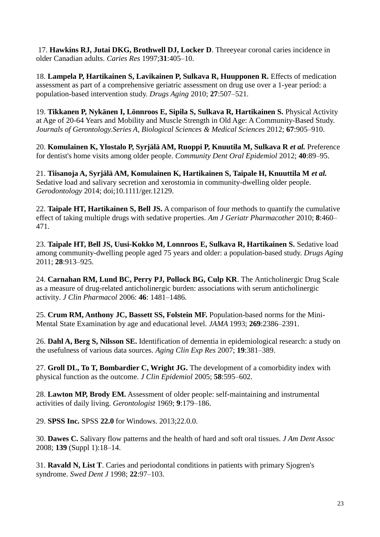17. **Hawkins RJ, Jutai DKG, Brothwell DJ, Locker D**. Threeyear coronal caries incidence in older Canadian adults. *Caries Res* 1997;**31**:405–10.

18. **Lampela P, Hartikainen S, Lavikainen P, Sulkava R, Huupponen R.** Effects of medication assessment as part of a comprehensive geriatric assessment on drug use over a 1-year period: a population-based intervention study. *Drugs Aging* 2010; **27**:507–521.

19. **Tikkanen P, Nykänen I, Lönnroos E, Sipila S, Sulkava R, Hartikainen S.** Physical Activity at Age of 20-64 Years and Mobility and Muscle Strength in Old Age: A Community-Based Study. *Journals of Gerontology.Series A, Biological Sciences & Medical Sciences* 2012; **67**:905–910.

20. **Komulainen K, Ylostalo P, Syrjälä AM, Ruoppi P, Knuutila M, Sulkava R** *et al.* Preference for dentist's home visits among older people. *Community Dent Oral Epidemiol* 2012; **40**:89–95.

21. **Tiisanoja A, Syrjälä AM, Komulainen K, Hartikainen S, Taipale H, Knuuttila M** *et al.* Sedative load and salivary secretion and xerostomia in community-dwelling older people. *Gerodontology* 2014; doi;10.1111/ger.12129.

22. **Taipale HT, Hartikainen S, Bell JS.** A comparison of four methods to quantify the cumulative effect of taking multiple drugs with sedative properties. *Am J Geriatr Pharmacother* 2010; **8**:460– 471.

23. **Taipale HT, Bell JS, Uusi-Kokko M, Lonnroos E, Sulkava R, Hartikainen S.** Sedative load among community-dwelling people aged 75 years and older: a population-based study. *Drugs Aging*  2011; **28**:913–925.

24. **Carnahan RM, Lund BC, Perry PJ, Pollock BG, Culp KR**. The Anticholinergic Drug Scale as a measure of drug-related anticholinergic burden: associations with serum anticholinergic activity. *J Clin Pharmacol* 2006: **46**: 1481–1486.

25. **Crum RM, Anthony JC, Bassett SS, Folstein MF.** Population-based norms for the Mini-Mental State Examination by age and educational level. *JAMA* 1993; **269**:2386–2391.

26. **Dahl A, Berg S, Nilsson SE.** Identification of dementia in epidemiological research: a study on the usefulness of various data sources. *Aging Clin Exp Res* 2007; **19**:381–389.

27. **Groll DL, To T, Bombardier C, Wright JG.** The development of a comorbidity index with physical function as the outcome. *J Clin Epidemiol* 2005; **58**:595–602.

28. **Lawton MP, Brody EM.** Assessment of older people: self-maintaining and instrumental activities of daily living. *Gerontologist* 1969; **9**:179–186.

29. **SPSS Inc.** SPSS **22.0** for Windows. 2013;22.0.0.

30. **Dawes C.** Salivary flow patterns and the health of hard and soft oral tissues. *J Am Dent Assoc*  2008; **139** (Suppl 1):18–14.

31. **Ravald N, List T**. Caries and periodontal conditions in patients with primary Sjogren's syndrome. *Swed Dent J* 1998; **22**:97–103.